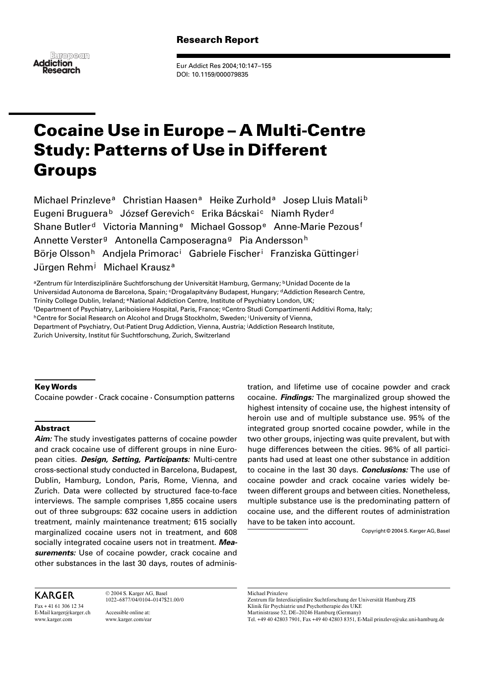# Research Report



Eur Addict Res 2004;10:147–155 DOI: 10.1159/000079835

# Cocaine Use in Europe – A Multi-Centre Study: Patterns of Use in Different Groups

Michael Prinzleve<sup>a</sup> Christian Haasen<sup>a</sup> Heike Zurhold<sup>a</sup> Josep Lluis Matali<sup>b</sup> Eugeni Bruguera<sup>b</sup> József Gerevich<sup>c</sup> Erika Bácskai<sup>c</sup> Niamh Ryder<sup>d</sup> Shane Butler<sup>d</sup> Victoria Manning<sup>e</sup> Michael Gossop<sup>e</sup> Anne-Marie Pezous<sup>f</sup> Annette Verster<sup>g</sup> Antonella Camposeragna<sup>g</sup> Pia Andersson<sup>h</sup> Börje Olsson<sup>h</sup> Andjela Primorac<sup>i</sup> Gabriele Fischer<sup>i</sup> Franziska Güttinger<sup>j</sup> Jürgen Rehm<sup>j</sup> Michael Krausz<sup>a</sup>

aZentrum für Interdisziplinäre Suchtforschung der Universität Hamburg, Germany; <sup>b</sup>Unidad Docente de la Universidad Autonoma de Barcelona, Spain; <sup>c</sup>Drogalapítvány Budapest, Hungary; <sup>d</sup>Addiction Research Centre, Trinity College Dublin, Ireland; eNational Addiction Centre, Institute of Psychiatry London, UK; f Department of Psychiatry, Lariboisiere Hospital, Paris, France; gCentro Studi Compartimenti Additivi Roma, Italy; hCentre for Social Research on Alcohol and Drugs Stockholm, Sweden; <sup>i</sup> University of Vienna, Department of Psychiatry, Out-Patient Drug Addiction, Vienna, Austria; <sup>j</sup>Addiction Research Institute, Zurich University, Institut für Suchtforschung, Zurich, Switzerland

# Key Words

Cocaine powder · Crack cocaine · Consumption patterns

## Abstract

**Aim:** The study investigates patterns of cocaine powder and crack cocaine use of different groups in nine European cities. **Design, Setting, Participants:** Multi-centre cross-sectional study conducted in Barcelona, Budapest, Dublin, Hamburg, London, Paris, Rome, Vienna, and Zurich. Data were collected by structured face-to-face interviews. The sample comprises 1,855 cocaine users out of three subgroups: 632 cocaine users in addiction treatment, mainly maintenance treatment; 615 socially marginalized cocaine users not in treatment, and 608 socially integrated cocaine users not in treatment. **Measurements:** Use of cocaine powder, crack cocaine and other substances in the last 30 days, routes of adminis-

KARGER

Fax + 41 61 306 12 34 E-Mail karger@karger.ch www.karger.com

1022–6877/04/0104–0147\$21.00/0 Accessible online at: www.karger.com/ear

© 2004 S. Karger AG, Basel

tration, and lifetime use of cocaine powder and crack cocaine. **Findings:** The marginalized group showed the highest intensity of cocaine use, the highest intensity of heroin use and of multiple substance use. 95% of the integrated group snorted cocaine powder, while in the two other groups, injecting was quite prevalent, but with huge differences between the cities. 96% of all participants had used at least one other substance in addition to cocaine in the last 30 days. **Conclusions:** The use of cocaine powder and crack cocaine varies widely between different groups and between cities. Nonetheless, multiple substance use is the predominating pattern of cocaine use, and the different routes of administration have to be taken into account.

Copyright © 2004 S. Karger AG, Basel

Zentrum für Interdisziplinäre Suchtforschung der Universität Hamburg ZIS Klinik für Psychiatrie und Psychotherapie des UKE

Martinistrasse 52, DE–20246 Hamburg (Germany)

Michael Prinzleve

Tel. +49 40 42803 7901, Fax +49 40 42803 8351, E-Mail prinzleve@uke.uni-hamburg.de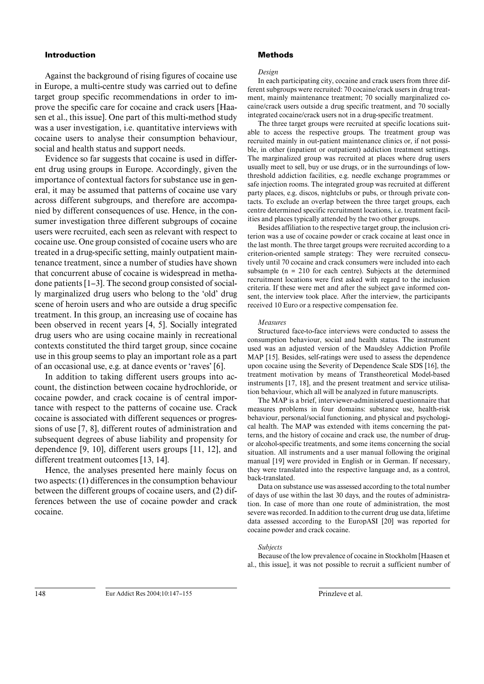## Introduction

Against the background of rising figures of cocaine use in Europe, a multi-centre study was carried out to define target group specific recommendations in order to improve the specific care for cocaine and crack users [Haasen et al., this issue]. One part of this multi-method study was a user investigation, i.e. quantitative interviews with cocaine users to analyse their consumption behaviour, social and health status and support needs.

Evidence so far suggests that cocaine is used in different drug using groups in Europe. Accordingly, given the importance of contextual factors for substance use in general, it may be assumed that patterns of cocaine use vary across different subgroups, and therefore are accompanied by different consequences of use. Hence, in the consumer investigation three different subgroups of cocaine users were recruited, each seen as relevant with respect to cocaine use. One group consisted of cocaine users who are treated in a drug-specific setting, mainly outpatient maintenance treatment, since a number of studies have shown that concurrent abuse of cocaine is widespread in methadone patients [1–3]. The second group consisted of socially marginalized drug users who belong to the 'old' drug scene of heroin users and who are outside a drug specific treatment. In this group, an increasing use of cocaine has been observed in recent years [4, 5]. Socially integrated drug users who are using cocaine mainly in recreational contexts constituted the third target group, since cocaine use in this group seems to play an important role as a part of an occasional use, e.g. at dance events or 'raves' [6].

In addition to taking different users groups into account, the distinction between cocaine hydrochloride, or cocaine powder, and crack cocaine is of central importance with respect to the patterns of cocaine use. Crack cocaine is associated with different sequences or progressions of use [7, 8], different routes of administration and subsequent degrees of abuse liability and propensity for dependence [9, 10], different users groups [11, 12], and different treatment outcomes [13, 14].

Hence, the analyses presented here mainly focus on two aspects: (1) differences in the consumption behaviour between the different groups of cocaine users, and (2) differences between the use of cocaine powder and crack cocaine.

## Methods

#### *Design*

In each participating city, cocaine and crack users from three different subgroups were recruited: 70 cocaine/crack users in drug treatment, mainly maintenance treatment; 70 socially marginalized cocaine/crack users outside a drug specific treatment, and 70 socially integrated cocaine/crack users not in a drug-specific treatment.

The three target groups were recruited at specific locations suitable to access the respective groups. The treatment group was recruited mainly in out-patient maintenance clinics or, if not possible, in other (inpatient or outpatient) addiction treatment settings. The marginalized group was recruited at places where drug users usually meet to sell, buy or use drugs, or in the surroundings of lowthreshold addiction facilities, e.g. needle exchange programmes or safe injection rooms. The integrated group was recruited at different party places, e.g. discos, nightclubs or pubs, or through private contacts. To exclude an overlap between the three target groups, each centre determined specific recruitment locations, i.e. treatment facilities and places typically attended by the two other groups.

Besides affiliation to the respective target group, the inclusion criterion was a use of cocaine powder or crack cocaine at least once in the last month. The three target groups were recruited according to a criterion-oriented sample strategy: They were recruited consecutively until 70 cocaine and crack consumers were included into each subsample (n = 210 for each centre). Subjects at the determined recruitment locations were first asked with regard to the inclusion criteria. If these were met and after the subject gave informed consent, the interview took place. After the interview, the participants received 10 Euro or a respective compensation fee.

#### *Measures*

Structured face-to-face interviews were conducted to assess the consumption behaviour, social and health status. The instrument used was an adjusted version of the Maudsley Addiction Profile MAP [15]. Besides, self-ratings were used to assess the dependence upon cocaine using the Severity of Dependence Scale SDS [16], the treatment motivation by means of Transtheoretical Model-based instruments [17, 18], and the present treatment and service utilisation behaviour, which all will be analyzed in future manuscripts.

The MAP is a brief, interviewer-administered questionnaire that measures problems in four domains: substance use, health-risk behaviour, personal/social functioning, and physical and psychological health. The MAP was extended with items concerning the patterns, and the history of cocaine and crack use, the number of drugor alcohol-specific treatments, and some items concerning the social situation. All instruments and a user manual following the original manual [19] were provided in English or in German. If necessary, they were translated into the respective language and, as a control, back-translated.

Data on substance use was assessed according to the total number of days of use within the last 30 days, and the routes of administration. In case of more than one route of administration, the most severe was recorded. In addition to the current drug use data, lifetime data assessed according to the EuropASI [20] was reported for cocaine powder and crack cocaine.

#### *Subjects*

Because of the low prevalence of cocaine in Stockholm [Haasen et al., this issue], it was not possible to recruit a sufficient number of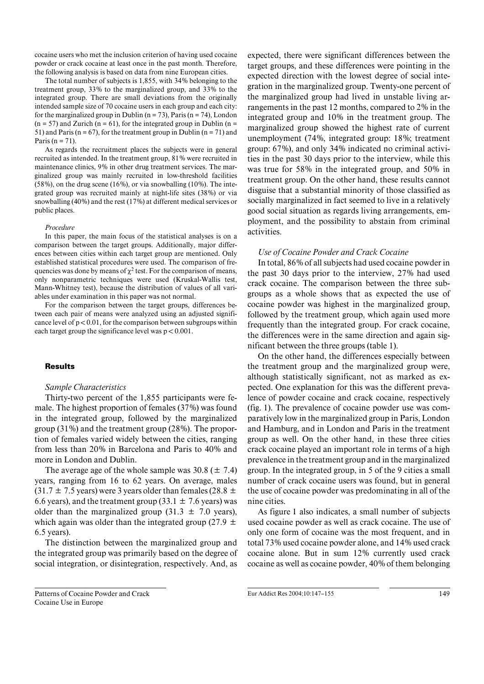cocaine users who met the inclusion criterion of having used cocaine powder or crack cocaine at least once in the past month. Therefore, the following analysis is based on data from nine European cities.

The total number of subjects is 1,855, with 34% belonging to the treatment group, 33% to the marginalized group, and 33% to the integrated group. There are small deviations from the originally intended sample size of 70 cocaine users in each group and each city: for the marginalized group in Dublin ( $n = 73$ ), Paris ( $n = 74$ ), London  $(n = 57)$  and Zurich  $(n = 61)$ , for the integrated group in Dublin  $(n = 11)$ 51) and Paris ( $n = 67$ ), for the treatment group in Dublin ( $n = 71$ ) and Paris ( $n = 71$ ).

As regards the recruitment places the subjects were in general recruited as intended. In the treatment group, 81% were recruited in maintenance clinics, 9% in other drug treatment services. The marginalized group was mainly recruited in low-threshold facilities (58%), on the drug scene (16%), or via snowballing (10%). The integrated group was recruited mainly at night-life sites (38%) or via snowballing (40%) and the rest (17%) at different medical services or public places.

#### *Procedure*

In this paper, the main focus of the statistical analyses is on a comparison between the target groups. Additionally, major differences between cities within each target group are mentioned. Only established statistical procedures were used. The comparison of frequencies was done by means of  $\chi^2$  test. For the comparison of means, only nonparametric techniques were used (Kruskal-Wallis test, Mann-Whitney test), because the distribution of values of all variables under examination in this paper was not normal.

For the comparison between the target groups, differences between each pair of means were analyzed using an adjusted significance level of  $p < 0.01$ , for the comparison between subgroups within each target group the significance level was  $p < 0.001$ .

#### Results

### *Sample Characteristics*

Thirty-two percent of the 1,855 participants were female. The highest proportion of females (37%) was found in the integrated group, followed by the marginalized group (31%) and the treatment group (28%). The proportion of females varied widely between the cities, ranging from less than 20% in Barcelona and Paris to 40% and more in London and Dublin.

The average age of the whole sample was  $30.8 (\pm 7.4)$ years, ranging from 16 to 62 years. On average, males  $(31.7 \pm 7.5 \text{ years})$  were 3 years older than females (28.8  $\pm$ 6.6 years), and the treatment group (33.1  $\pm$  7.6 years) was older than the marginalized group  $(31.3 \pm 7.0 \text{ years})$ , which again was older than the integrated group (27.9  $\pm$ 6.5 years).

The distinction between the marginalized group and the integrated group was primarily based on the degree of social integration, or disintegration, respectively. And, as

Patterns of Cocaine Powder and Crack Cocaine Use in Europe

expected, there were significant differences between the target groups, and these differences were pointing in the expected direction with the lowest degree of social integration in the marginalized group. Twenty-one percent of the marginalized group had lived in unstable living arrangements in the past 12 months, compared to 2% in the integrated group and 10% in the treatment group. The marginalized group showed the highest rate of current unemployment (74%, integrated group: 18%; treatment group: 67%), and only 34% indicated no criminal activities in the past 30 days prior to the interview, while this was true for 58% in the integrated group, and 50% in treatment group. On the other hand, these results cannot disguise that a substantial minority of those classified as socially marginalized in fact seemed to live in a relatively good social situation as regards living arrangements, employment, and the possibility to abstain from criminal activities.

## *Use of Cocaine Powder and Crack Cocaine*

In total, 86% of all subjects had used cocaine powder in the past 30 days prior to the interview, 27% had used crack cocaine. The comparison between the three subgroups as a whole shows that as expected the use of cocaine powder was highest in the marginalized group, followed by the treatment group, which again used more frequently than the integrated group. For crack cocaine, the differences were in the same direction and again significant between the three groups (table 1).

On the other hand, the differences especially between the treatment group and the marginalized group were, although statistically significant, not as marked as expected. One explanation for this was the different prevalence of powder cocaine and crack cocaine, respectively (fig. 1). The prevalence of cocaine powder use was comparatively low in the marginalized group in Paris, London and Hamburg, and in London and Paris in the treatment group as well. On the other hand, in these three cities crack cocaine played an important role in terms of a high prevalence in the treatment group and in the marginalized group. In the integrated group, in 5 of the 9 cities a small number of crack cocaine users was found, but in general the use of cocaine powder was predominating in all of the nine cities.

As figure 1 also indicates, a small number of subjects used cocaine powder as well as crack cocaine. The use of only one form of cocaine was the most frequent, and in total 73% used cocaine powder alone, and 14% used crack cocaine alone. But in sum 12% currently used crack cocaine as well as cocaine powder, 40% of them belonging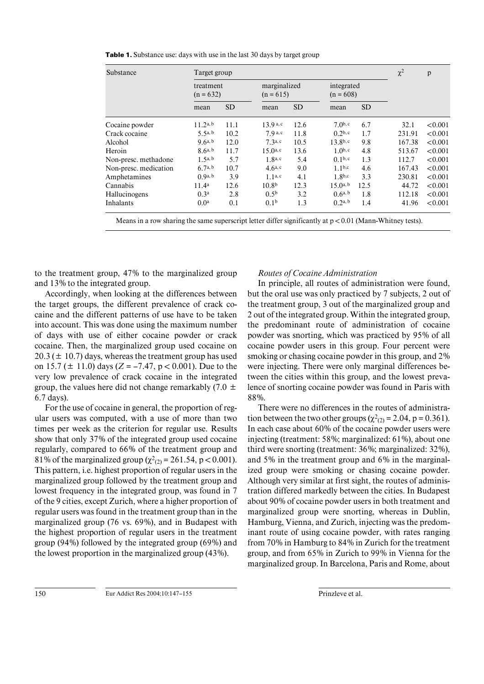| <b>Table 1.</b> Substance use: days with use in the last 30 days by target group |  |  |
|----------------------------------------------------------------------------------|--|--|
|----------------------------------------------------------------------------------|--|--|

| Substance             |                          | Target group |                             |           |                           |           |        | $\mathbf{p}$ |
|-----------------------|--------------------------|--------------|-----------------------------|-----------|---------------------------|-----------|--------|--------------|
|                       | treatment<br>$(n = 632)$ |              | marginalized<br>$(n = 615)$ |           | integrated<br>$(n = 608)$ |           |        |              |
|                       | mean                     | <b>SD</b>    | mean                        | <b>SD</b> | mean                      | <b>SD</b> |        |              |
| Cocaine powder        | $11.2^{a,b}$             | 11.1         | 13.9 <sup>a, c</sup>        | 12.6      | $7.0^{b,c}$               | 6.7       | 32.1   | < 0.001      |
| Crack cocaine         | 5.5a, b                  | 10.2         | $7.9a$ , c                  | 11.8      | $0.2b$ , c                | 1.7       | 231.91 | < 0.001      |
| Alcohol               | $9.6^{a, b}$             | 12.0         | $7.3a$ , c                  | 10.5      | $13.8^{b,c}$              | 9.8       | 167.38 | < 0.001      |
| Heroin                | $8.6^{a, b}$             | 11.7         | $15.0^{a,c}$                | 13.6      | $1.0^{b,c}$               | 4.8       | 513.67 | < 0.001      |
| Non-presc. methadone  | $1.5^{a, b}$             | 5.7          | $1.8^{a,c}$                 | 5.4       | 0.1 <sup>b,c</sup>        | 1.3       | 112.7  | < 0.001      |
| Non-presc. medication | 6.7a, b                  | 10.7         | $4.6^{a,c}$                 | 9.0       | $1.1^{b,c}$               | 4.6       | 167.43 | < 0.001      |
| Amphetamines          | (0, 9a, b)               | 3.9          | 1.1 <sup>a, c</sup>         | 4.1       | 1.8 <sup>b,c</sup>        | 3.3       | 230.81 | < 0.001      |
| Cannabis              | 11.4 <sup>a</sup>        | 12.6         | 10.8 <sup>b</sup>           | 12.3      | $15.0^{a,b}$              | 12.5      | 44.72  | < 0.001      |
| Hallucinogens         | 0.3 <sup>a</sup>         | 2.8          | $0.5^{b}$                   | 3.2       | $0.6^{a, b}$              | 1.8       | 112.18 | < 0.001      |
| Inhalants             | 0.0 <sup>a</sup>         | 0.1          | 0.1 <sup>b</sup>            | 1.3       | $0.2^{a, b}$              | 1.4       | 41.96  | < 0.001      |

Means in a row sharing the same superscript letter differ significantly at  $p < 0.01$  (Mann-Whitney tests).

to the treatment group, 47% to the marginalized group and 13% to the integrated group.

Accordingly, when looking at the differences between the target groups, the different prevalence of crack cocaine and the different patterns of use have to be taken into account. This was done using the maximum number of days with use of either cocaine powder or crack cocaine. Then, the marginalized group used cocaine on  $20.3 (\pm 10.7)$  days, whereas the treatment group has used on 15.7 ( $\pm$  11.0) days (*Z* = –7.47, p < 0.001). Due to the very low prevalence of crack cocaine in the integrated group, the values here did not change remarkably (7.0  $\pm$ 6.7 days).

For the use of cocaine in general, the proportion of regular users was computed, with a use of more than two times per week as the criterion for regular use. Results show that only 37% of the integrated group used cocaine regularly, compared to 66% of the treatment group and 81% of the marginalized group ( $\chi^2_{(2)}$  = 261.54, p < 0.001). This pattern, i.e. highest proportion of regular users in the marginalized group followed by the treatment group and lowest frequency in the integrated group, was found in 7 of the 9 cities, except Zurich, where a higher proportion of regular users was found in the treatment group than in the marginalized group (76 vs. 69%), and in Budapest with the highest proportion of regular users in the treatment group (94%) followed by the integrated group (69%) and the lowest proportion in the marginalized group (43%).

# *Routes of Cocaine Administration*

In principle, all routes of administration were found, but the oral use was only practiced by 7 subjects, 2 out of the treatment group, 3 out of the marginalized group and 2 out of the integrated group. Within the integrated group, the predominant route of administration of cocaine powder was snorting, which was practiced by 95% of all cocaine powder users in this group. Four percent were smoking or chasing cocaine powder in this group, and 2% were injecting. There were only marginal differences between the cities within this group, and the lowest prevalence of snorting cocaine powder was found in Paris with 88%.

There were no differences in the routes of administration between the two other groups ( $\chi^2_{(2)}$  = 2.04, p = 0.361). In each case about 60% of the cocaine powder users were injecting (treatment: 58%; marginalized: 61%), about one third were snorting (treatment: 36%; marginalized: 32%), and 5% in the treatment group and 6% in the marginalized group were smoking or chasing cocaine powder. Although very similar at first sight, the routes of administration differed markedly between the cities. In Budapest about 90% of cocaine powder users in both treatment and marginalized group were snorting, whereas in Dublin, Hamburg, Vienna, and Zurich, injecting was the predominant route of using cocaine powder, with rates ranging from 70% in Hamburg to 84% in Zurich for the treatment group, and from 65% in Zurich to 99% in Vienna for the marginalized group. In Barcelona, Paris and Rome, about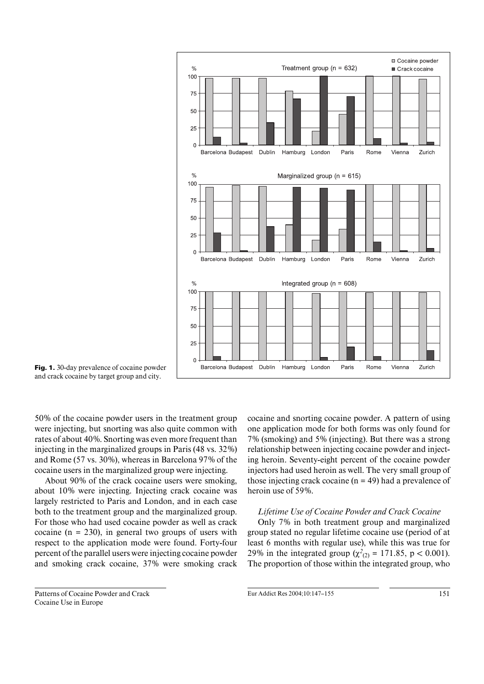

Fig. 1. 30-day prevalence of cocaine powder and crack cocaine by target group and city.

50% of the cocaine powder users in the treatment group were injecting, but snorting was also quite common with rates of about 40%. Snorting was even more frequent than injecting in the marginalized groups in Paris (48 vs. 32%) and Rome (57 vs. 30%), whereas in Barcelona 97% of the cocaine users in the marginalized group were injecting.

About 90% of the crack cocaine users were smoking, about 10% were injecting. Injecting crack cocaine was largely restricted to Paris and London, and in each case both to the treatment group and the marginalized group. For those who had used cocaine powder as well as crack cocaine ( $n = 230$ ), in general two groups of users with respect to the application mode were found. Forty-four percent of the parallel users were injecting cocaine powder and smoking crack cocaine, 37% were smoking crack cocaine and snorting cocaine powder. A pattern of using one application mode for both forms was only found for 7% (smoking) and 5% (injecting). But there was a strong relationship between injecting cocaine powder and injecting heroin. Seventy-eight percent of the cocaine powder injectors had used heroin as well. The very small group of those injecting crack cocaine  $(n = 49)$  had a prevalence of heroin use of 59%.

# *Lifetime Use of Cocaine Powder and Crack Cocaine*

Only 7% in both treatment group and marginalized group stated no regular lifetime cocaine use (period of at least 6 months with regular use), while this was true for 29% in the integrated group ( $\chi^2_{(2)} = 171.85$ , p < 0.001). The proportion of those within the integrated group, who

Patterns of Cocaine Powder and Crack Cocaine Use in Europe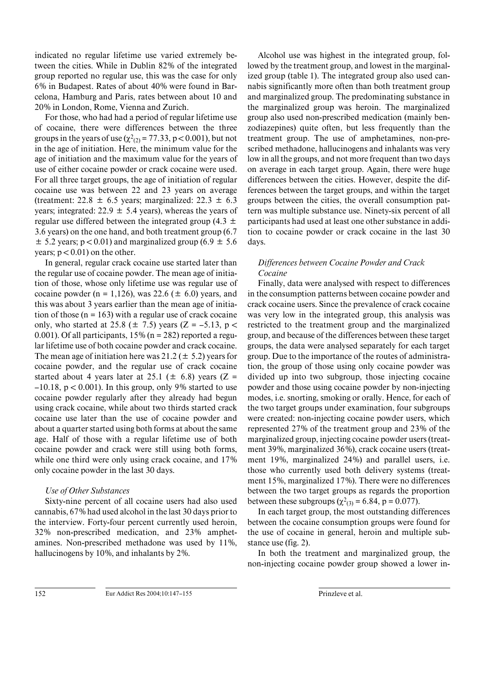indicated no regular lifetime use varied extremely between the cities. While in Dublin 82% of the integrated group reported no regular use, this was the case for only 6% in Budapest. Rates of about 40% were found in Barcelona, Hamburg and Paris, rates between about 10 and 20% in London, Rome, Vienna and Zurich.

For those, who had had a period of regular lifetime use of cocaine, there were differences between the three groups in the years of use ( $\chi^2_{(2)} = 77.33$ , p < 0.001), but not in the age of initiation. Here, the minimum value for the age of initiation and the maximum value for the years of use of either cocaine powder or crack cocaine were used. For all three target groups, the age of initiation of regular cocaine use was between 22 and 23 years on average (treatment:  $22.8 \pm 6.5$  years; marginalized:  $22.3 \pm 6.3$ years; integrated:  $22.9 \pm 5.4$  years), whereas the years of regular use differed between the integrated group (4.3  $\pm$ 3.6 years) on the one hand, and both treatment group (6.7  $\pm$  5.2 years; p < 0.01) and marginalized group (6.9  $\pm$  5.6 years;  $p < 0.01$ ) on the other.

In general, regular crack cocaine use started later than the regular use of cocaine powder. The mean age of initiation of those, whose only lifetime use was regular use of cocaine powder (n = 1,126), was 22.6 ( $\pm$  6.0) years, and this was about 3 years earlier than the mean age of initiation of those  $(n = 163)$  with a regular use of crack cocaine only, who started at 25.8 ( $\pm$  7.5) years (Z = –5.13, p < 0.001). Of all participants,  $15\%$  (n = 282) reported a regular lifetime use of both cocaine powder and crack cocaine. The mean age of initiation here was  $21.2 (\pm 5.2)$  years for cocaine powder, and the regular use of crack cocaine started about 4 years later at 25.1 ( $\pm$  6.8) years (Z =  $-10.18$ , p < 0.001). In this group, only 9% started to use cocaine powder regularly after they already had begun using crack cocaine, while about two thirds started crack cocaine use later than the use of cocaine powder and about a quarter started using both forms at about the same age. Half of those with a regular lifetime use of both cocaine powder and crack were still using both forms, while one third were only using crack cocaine, and  $17\%$ only cocaine powder in the last 30 days.

# *Use of Other Substances*

Sixty-nine percent of all cocaine users had also used cannabis, 67% had used alcohol in the last 30 days prior to the interview. Forty-four percent currently used heroin, 32% non-prescribed medication, and 23% amphetamines. Non-prescribed methadone was used by 11%, hallucinogens by 10%, and inhalants by 2%.

Alcohol use was highest in the integrated group, followed by the treatment group, and lowest in the marginalized group (table 1). The integrated group also used cannabis significantly more often than both treatment group and marginalized group. The predominating substance in the marginalized group was heroin. The marginalized group also used non-prescribed medication (mainly benzodiazepines) quite often, but less frequently than the treatment group. The use of amphetamines, non-prescribed methadone, hallucinogens and inhalants was very low in all the groups, and not more frequent than two days on average in each target group. Again, there were huge differences between the cities. However, despite the differences between the target groups, and within the target groups between the cities, the overall consumption pattern was multiple substance use. Ninety-six percent of all participants had used at least one other substance in addition to cocaine powder or crack cocaine in the last 30 days.

# *Differences between Cocaine Powder and Crack Cocaine*

Finally, data were analysed with respect to differences in the consumption patterns between cocaine powder and crack cocaine users. Since the prevalence of crack cocaine was very low in the integrated group, this analysis was restricted to the treatment group and the marginalized group, and because of the differences between these target groups, the data were analysed separately for each target group. Due to the importance of the routes of administration, the group of those using only cocaine powder was divided up into two subgroup, those injecting cocaine powder and those using cocaine powder by non-injecting modes, i.e. snorting, smoking or orally. Hence, for each of the two target groups under examination, four subgroups were created: non-injecting cocaine powder users, which represented 27% of the treatment group and 23% of the marginalized group, injecting cocaine powder users (treatment 39%, marginalized 36%), crack cocaine users (treatment 19%, marginalized 24%) and parallel users, i.e. those who currently used both delivery systems (treatment 15%, marginalized 17%). There were no differences between the two target groups as regards the proportion between these subgroups ( $\chi^2_{(3)} = 6.84$ , p = 0.077).

In each target group, the most outstanding differences between the cocaine consumption groups were found for the use of cocaine in general, heroin and multiple substance use (fig. 2).

In both the treatment and marginalized group, the non-injecting cocaine powder group showed a lower in-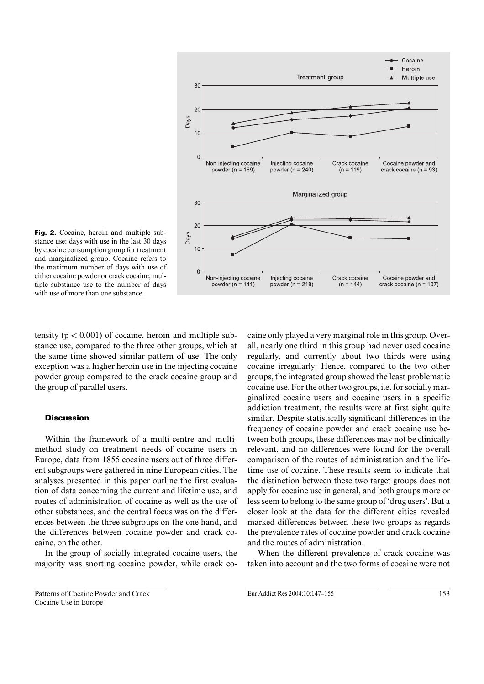

Fig. 2. Cocaine, heroin and multiple substance use: days with use in the last 30 days by cocaine consumption group for treatment and marginalized group. Cocaine refers to the maximum number of days with use of either cocaine powder or crack cocaine, multiple substance use to the number of days with use of more than one substance.

tensity ( $p < 0.001$ ) of cocaine, heroin and multiple substance use, compared to the three other groups, which at the same time showed similar pattern of use. The only exception was a higher heroin use in the injecting cocaine powder group compared to the crack cocaine group and the group of parallel users.

## **Discussion**

Within the framework of a multi-centre and multimethod study on treatment needs of cocaine users in Europe, data from 1855 cocaine users out of three different subgroups were gathered in nine European cities. The analyses presented in this paper outline the first evaluation of data concerning the current and lifetime use, and routes of administration of cocaine as well as the use of other substances, and the central focus was on the differences between the three subgroups on the one hand, and the differences between cocaine powder and crack cocaine, on the other.

In the group of socially integrated cocaine users, the majority was snorting cocaine powder, while crack co-

Patterns of Cocaine Powder and Crack Cocaine Use in Europe

caine only played a very marginal role in this group. Overall, nearly one third in this group had never used cocaine regularly, and currently about two thirds were using cocaine irregularly. Hence, compared to the two other groups, the integrated group showed the least problematic cocaine use. For the other two groups, i.e. for socially marginalized cocaine users and cocaine users in a specific addiction treatment, the results were at first sight quite similar. Despite statistically significant differences in the frequency of cocaine powder and crack cocaine use between both groups, these differences may not be clinically relevant, and no differences were found for the overall comparison of the routes of administration and the lifetime use of cocaine. These results seem to indicate that the distinction between these two target groups does not apply for cocaine use in general, and both groups more or less seem to belong to the same group of 'drug users'. But a closer look at the data for the different cities revealed marked differences between these two groups as regards the prevalence rates of cocaine powder and crack cocaine and the routes of administration.

When the different prevalence of crack cocaine was taken into account and the two forms of cocaine were not

Eur Addict Res 2004:10:147-155 153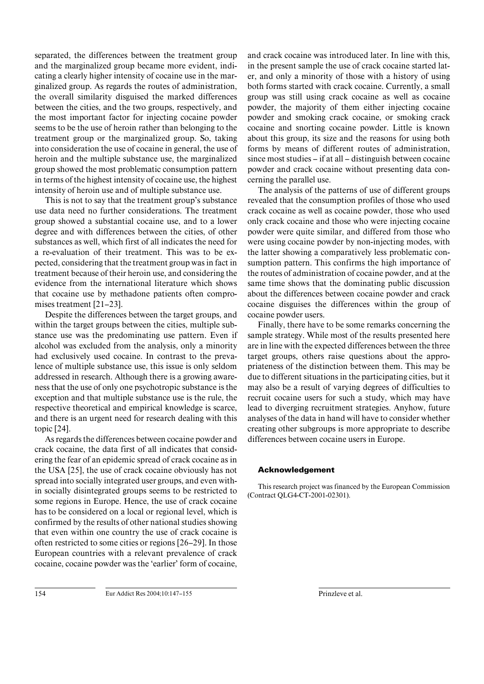separated, the differences between the treatment group and the marginalized group became more evident, indicating a clearly higher intensity of cocaine use in the marginalized group. As regards the routes of administration, the overall similarity disguised the marked differences between the cities, and the two groups, respectively, and the most important factor for injecting cocaine powder seems to be the use of heroin rather than belonging to the treatment group or the marginalized group. So, taking into consideration the use of cocaine in general, the use of heroin and the multiple substance use, the marginalized group showed the most problematic consumption pattern in terms of the highest intensity of cocaine use, the highest intensity of heroin use and of multiple substance use.

This is not to say that the treatment group's substance use data need no further considerations. The treatment group showed a substantial cocaine use, and to a lower degree and with differences between the cities, of other substances as well, which first of all indicates the need for a re-evaluation of their treatment. This was to be expected, considering that the treatment group was in fact in treatment because of their heroin use, and considering the evidence from the international literature which shows that cocaine use by methadone patients often compromises treatment [21–23].

Despite the differences between the target groups, and within the target groups between the cities, multiple substance use was the predominating use pattern. Even if alcohol was excluded from the analysis, only a minority had exclusively used cocaine. In contrast to the prevalence of multiple substance use, this issue is only seldom addressed in research. Although there is a growing awareness that the use of only one psychotropic substance is the exception and that multiple substance use is the rule, the respective theoretical and empirical knowledge is scarce, and there is an urgent need for research dealing with this topic [24].

As regards the differences between cocaine powder and crack cocaine, the data first of all indicates that considering the fear of an epidemic spread of crack cocaine as in the USA [25], the use of crack cocaine obviously has not spread into socially integrated user groups, and even within socially disintegrated groups seems to be restricted to some regions in Europe. Hence, the use of crack cocaine has to be considered on a local or regional level, which is confirmed by the results of other national studies showing that even within one country the use of crack cocaine is often restricted to some cities or regions [26–29]. In those European countries with a relevant prevalence of crack cocaine, cocaine powder was the 'earlier' form of cocaine,

and crack cocaine was introduced later. In line with this, in the present sample the use of crack cocaine started later, and only a minority of those with a history of using both forms started with crack cocaine. Currently, a small group was still using crack cocaine as well as cocaine powder, the majority of them either injecting cocaine powder and smoking crack cocaine, or smoking crack cocaine and snorting cocaine powder. Little is known about this group, its size and the reasons for using both forms by means of different routes of administration, since most studies – if at all – distinguish between cocaine powder and crack cocaine without presenting data concerning the parallel use.

The analysis of the patterns of use of different groups revealed that the consumption profiles of those who used crack cocaine as well as cocaine powder, those who used only crack cocaine and those who were injecting cocaine powder were quite similar, and differed from those who were using cocaine powder by non-injecting modes, with the latter showing a comparatively less problematic consumption pattern. This confirms the high importance of the routes of administration of cocaine powder, and at the same time shows that the dominating public discussion about the differences between cocaine powder and crack cocaine disguises the differences within the group of cocaine powder users.

Finally, there have to be some remarks concerning the sample strategy. While most of the results presented here are in line with the expected differences between the three target groups, others raise questions about the appropriateness of the distinction between them. This may be due to different situations in the participating cities, but it may also be a result of varying degrees of difficulties to recruit cocaine users for such a study, which may have lead to diverging recruitment strategies. Anyhow, future analyses of the data in hand will have to consider whether creating other subgroups is more appropriate to describe differences between cocaine users in Europe.

# Acknowledgement

This research project was financed by the European Commission (Contract QLG4-CT-2001-02301).